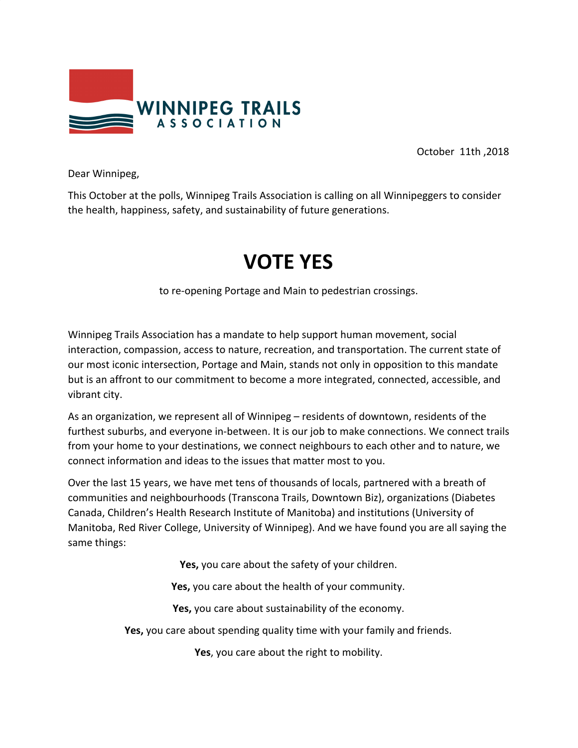

October 11th ,2018

Dear Winnipeg,

This October at the polls, Winnipeg Trails Association is calling on all Winnipeggers to consider the health, happiness, safety, and sustainability of future generations.

## **VOTE YES**

to re-opening Portage and Main to pedestrian crossings.

Winnipeg Trails Association has a mandate to help support human movement, social interaction, compassion, access to nature, recreation, and transportation. The current state of our most iconic intersection, Portage and Main, stands not only in opposition to this mandate but is an affront to our commitment to become a more integrated, connected, accessible, and vibrant city.

As an organization, we represent all of Winnipeg – residents of downtown, residents of the furthest suburbs, and everyone in-between. It is our job to make connections. We connect trails from your home to your destinations, we connect neighbours to each other and to nature, we connect information and ideas to the issues that matter most to you.

Over the last 15 years, we have met tens of thousands of locals, partnered with a breath of communities and neighbourhoods (Transcona Trails, Downtown Biz), organizations (Diabetes Canada, Children's Health Research Institute of Manitoba) and institutions (University of Manitoba, Red River College, University of Winnipeg). And we have found you are all saying the same things:

**Yes,** you care about the safety of your children.

**Yes,** you care about the health of your community.

**Yes,** you care about sustainability of the economy.

**Yes,** you care about spending quality time with your family and friends.

**Yes**, you care about the right to mobility.